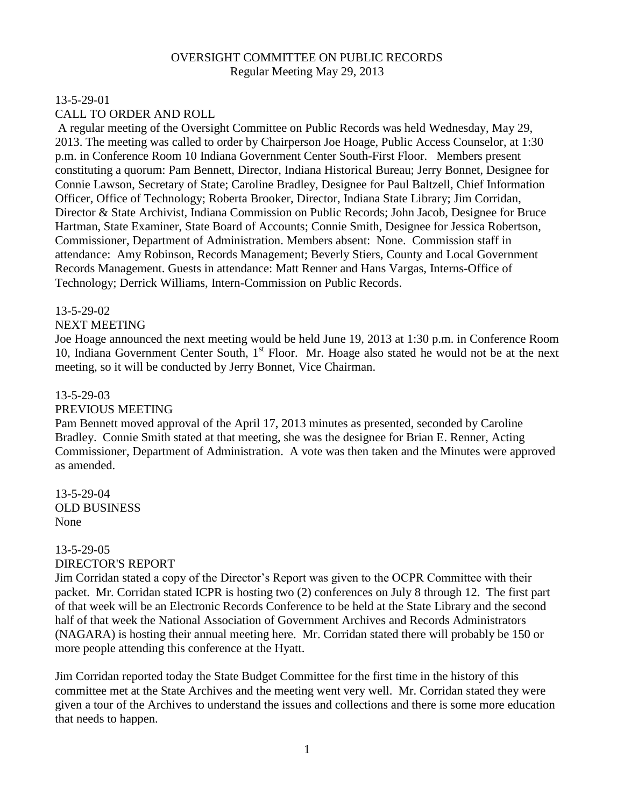### OVERSIGHT COMMITTEE ON PUBLIC RECORDS Regular Meeting May 29, 2013

# 13-5-29-01 CALL TO ORDER AND ROLL

A regular meeting of the Oversight Committee on Public Records was held Wednesday, May 29, 2013. The meeting was called to order by Chairperson Joe Hoage, Public Access Counselor, at 1:30 p.m. in Conference Room 10 Indiana Government Center South-First Floor. Members present constituting a quorum: Pam Bennett, Director, Indiana Historical Bureau; Jerry Bonnet, Designee for Connie Lawson, Secretary of State; Caroline Bradley, Designee for Paul Baltzell, Chief Information Officer, Office of Technology; Roberta Brooker, Director, Indiana State Library; Jim Corridan, Director & State Archivist, Indiana Commission on Public Records; John Jacob, Designee for Bruce Hartman, State Examiner, State Board of Accounts; Connie Smith, Designee for Jessica Robertson, Commissioner, Department of Administration. Members absent: None. Commission staff in attendance: Amy Robinson, Records Management; Beverly Stiers, County and Local Government Records Management. Guests in attendance: Matt Renner and Hans Vargas, Interns-Office of Technology; Derrick Williams, Intern-Commission on Public Records.

### 13-5-29-02

# NEXT MEETING

Joe Hoage announced the next meeting would be held June 19, 2013 at 1:30 p.m. in Conference Room 10, Indiana Government Center South, 1<sup>st</sup> Floor. Mr. Hoage also stated he would not be at the next meeting, so it will be conducted by Jerry Bonnet, Vice Chairman.

### 13-5-29-03

### PREVIOUS MEETING

Pam Bennett moved approval of the April 17, 2013 minutes as presented, seconded by Caroline Bradley. Connie Smith stated at that meeting, she was the designee for Brian E. Renner, Acting Commissioner, Department of Administration. A vote was then taken and the Minutes were approved as amended.

13-5-29-04 OLD BUSINESS None

### 13-5-29-05 DIRECTOR'S REPORT

Jim Corridan stated a copy of the Director's Report was given to the OCPR Committee with their packet. Mr. Corridan stated ICPR is hosting two (2) conferences on July 8 through 12. The first part of that week will be an Electronic Records Conference to be held at the State Library and the second half of that week the National Association of Government Archives and Records Administrators (NAGARA) is hosting their annual meeting here. Mr. Corridan stated there will probably be 150 or more people attending this conference at the Hyatt.

Jim Corridan reported today the State Budget Committee for the first time in the history of this committee met at the State Archives and the meeting went very well. Mr. Corridan stated they were given a tour of the Archives to understand the issues and collections and there is some more education that needs to happen.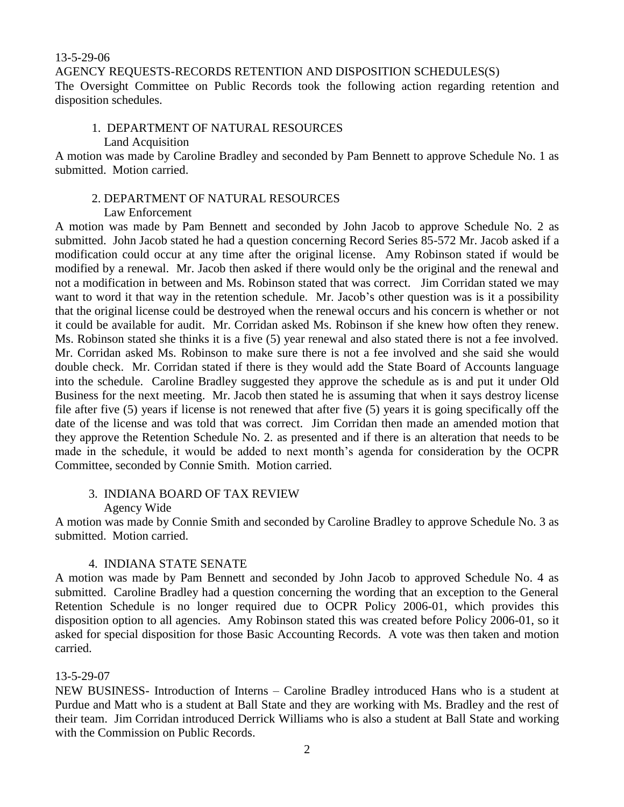#### 13-5-29-06

AGENCY REQUESTS-RECORDS RETENTION AND DISPOSITION SCHEDULES(S)

The Oversight Committee on Public Records took the following action regarding retention and disposition schedules.

#### 1. DEPARTMENT OF NATURAL RESOURCES Land Acquisition

A motion was made by Caroline Bradley and seconded by Pam Bennett to approve Schedule No. 1 as submitted. Motion carried.

### 2. DEPARTMENT OF NATURAL RESOURCES

### Law Enforcement

A motion was made by Pam Bennett and seconded by John Jacob to approve Schedule No. 2 as submitted. John Jacob stated he had a question concerning Record Series 85-572 Mr. Jacob asked if a modification could occur at any time after the original license. Amy Robinson stated if would be modified by a renewal. Mr. Jacob then asked if there would only be the original and the renewal and not a modification in between and Ms. Robinson stated that was correct. Jim Corridan stated we may want to word it that way in the retention schedule. Mr. Jacob's other question was is it a possibility that the original license could be destroyed when the renewal occurs and his concern is whether or not it could be available for audit. Mr. Corridan asked Ms. Robinson if she knew how often they renew. Ms. Robinson stated she thinks it is a five (5) year renewal and also stated there is not a fee involved. Mr. Corridan asked Ms. Robinson to make sure there is not a fee involved and she said she would double check. Mr. Corridan stated if there is they would add the State Board of Accounts language into the schedule. Caroline Bradley suggested they approve the schedule as is and put it under Old Business for the next meeting. Mr. Jacob then stated he is assuming that when it says destroy license file after five (5) years if license is not renewed that after five (5) years it is going specifically off the date of the license and was told that was correct. Jim Corridan then made an amended motion that they approve the Retention Schedule No. 2. as presented and if there is an alteration that needs to be made in the schedule, it would be added to next month's agenda for consideration by the OCPR Committee, seconded by Connie Smith. Motion carried.

# 3. INDIANA BOARD OF TAX REVIEW

# Agency Wide

A motion was made by Connie Smith and seconded by Caroline Bradley to approve Schedule No. 3 as submitted. Motion carried.

# 4. INDIANA STATE SENATE

A motion was made by Pam Bennett and seconded by John Jacob to approved Schedule No. 4 as submitted. Caroline Bradley had a question concerning the wording that an exception to the General Retention Schedule is no longer required due to OCPR Policy 2006-01, which provides this disposition option to all agencies. Amy Robinson stated this was created before Policy 2006-01, so it asked for special disposition for those Basic Accounting Records. A vote was then taken and motion carried.

### 13-5-29-07

NEW BUSINESS- Introduction of Interns – Caroline Bradley introduced Hans who is a student at Purdue and Matt who is a student at Ball State and they are working with Ms. Bradley and the rest of their team. Jim Corridan introduced Derrick Williams who is also a student at Ball State and working with the Commission on Public Records.